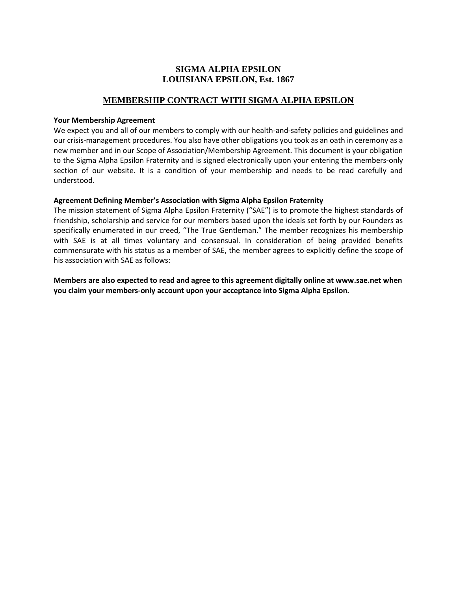# **SIGMA ALPHA EPSILON LOUISIANA EPSILON, Est. 1867**

## **MEMBERSHIP CONTRACT WITH SIGMA ALPHA EPSILON**

#### **Your Membership Agreement**

We expect you and all of our members to comply with our health-and-safety policies and guidelines and our crisis-management procedures. You also have other obligations you took as an oath in ceremony as a new member and in our Scope of Association/Membership Agreement. This document is your obligation to the Sigma Alpha Epsilon Fraternity and is signed electronically upon your entering the members-only section of our website. It is a condition of your membership and needs to be read carefully and understood.

### **Agreement Defining Member's Association with Sigma Alpha Epsilon Fraternity**

The mission statement of Sigma Alpha Epsilon Fraternity ("SAE") is to promote the highest standards of friendship, scholarship and service for our members based upon the ideals set forth by our Founders as specifically enumerated in our creed, "The True Gentleman." The member recognizes his membership with SAE is at all times voluntary and consensual. In consideration of being provided benefits commensurate with his status as a member of SAE, the member agrees to explicitly define the scope of his association with SAE as follows:

**Members are also expected to read and agree to this agreement digitally online at www.sae.net when you claim your members-only account upon your acceptance into Sigma Alpha Epsilon.**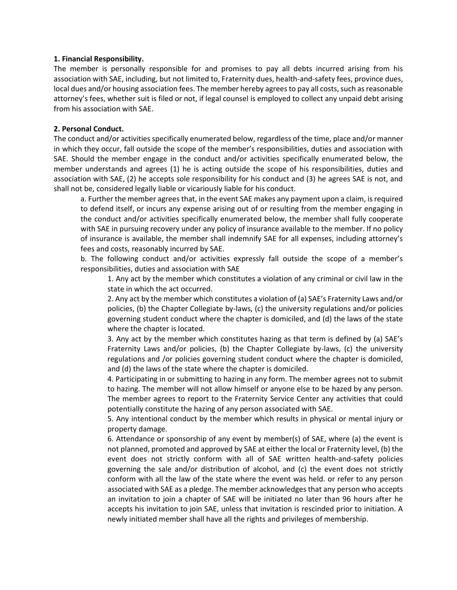#### **1. Financial Responsibility.**

The member is personally responsible for and promises to pay all debts incurred arising from his association with SAE, including, but not limited to, Fraternity dues, health-and-safety fees, province dues, local dues and/or housing association fees. The member hereby agrees to pay all costs, such as reasonable attorney's fees, whether suit is filed or not, if legal counsel is employed to collect any unpaid debt arising from his association with SAE.

### **2. Personal Conduct.**

The conduct and/or activities specifically enumerated below, regardless of the time, place and/or manner in which they occur, fall outside the scope of the member's responsibilities, duties and association with SAE. Should the member engage in the conduct and/or activities specifically enumerated below, the member understands and agrees (1) he is acting outside the scope of his responsibilities, duties and association with SAE, (2) he accepts sole responsibility for his conduct and (3) he agrees SAE is not, and shall not be, considered legally liable or vicariously liable for his conduct.

a. Further the member agrees that, in the event SAE makes any payment upon a claim, is required to defend itself, or incurs any expense arising out of or resulting from the member engaging in the conduct and/or activities specifically enumerated below, the member shall fully cooperate with SAE in pursuing recovery under any policy of insurance available to the member. If no policy of insurance is available, the member shall indemnify SAE for all expenses, including attorney's fees and costs, reasonably incurred by SAE.

b. The following conduct and/or activities expressly fall outside the scope of a member's responsibilities, duties and association with SAE

1. Any act by the member which constitutes a violation of any criminal or civil law in the state in which the act occurred.

2. Any act by the member which constitutes a violation of (a) SAE's Fraternity Laws and/or policies, (b) the Chapter Collegiate by-laws, (c) the university regulations and/or policies governing student conduct where the chapter is domiciled, and (d) the laws of the state where the chapter is located.

3. Any act by the member which constitutes hazing as that term is defined by (a) SAE's Fraternity Laws and/or policies, (b) the Chapter Collegiate by-laws, (c) the university regulations and /or policies governing student conduct where the chapter is domiciled, and (d) the laws of the state where the chapter is domiciled.

4. Participating in or submitting to hazing in any form. The member agrees not to submit to hazing. The member will not allow himself or anyone else to be hazed by any person. The member agrees to report to the Fraternity Service Center any activities that could potentially constitute the hazing of any person associated with SAE.

5. Any intentional conduct by the member which results in physical or mental injury or property damage.

6. Attendance or sponsorship of any event by member(s) of SAE, where (a) the event is not planned, promoted and approved by SAE at either the local or Fraternity level, (b) the event does not strictly conform with all of SAE written health-and-safety policies governing the sale and/or distribution of alcohol, and (c) the event does not strictly conform with all the law of the state where the event was held. or refer to any person associated with SAE as a pledge. The member acknowledges that any person who accepts an invitation to join a chapter of SAE will be initiated no later than 96 hours after he accepts his invitation to join SAE, unless that invitation is rescinded prior to initiation. A newly initiated member shall have all the rights and privileges of membership.